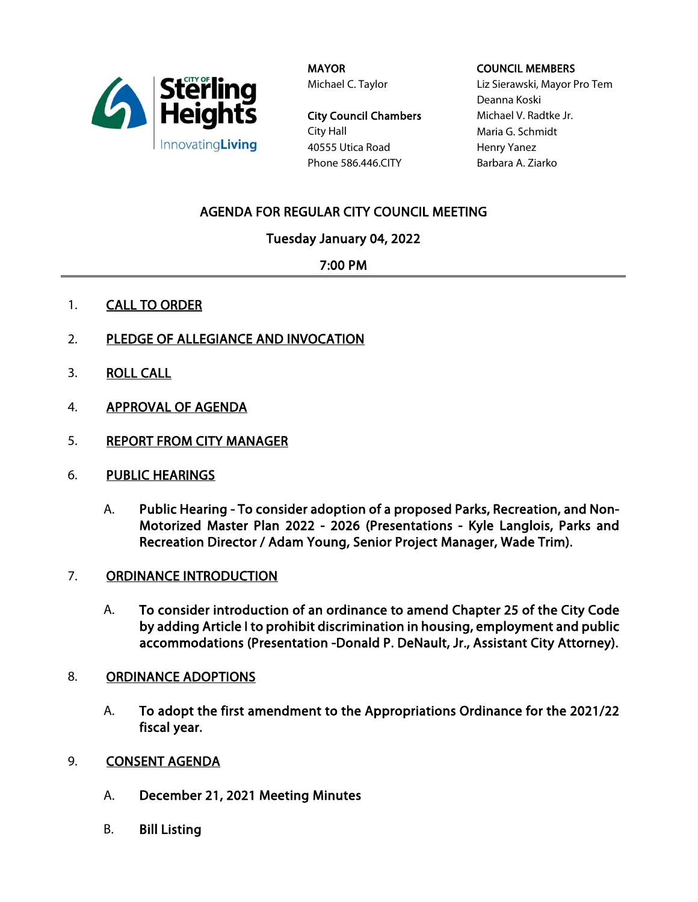

MAYOR Michael C. Taylor

City Council Chambers City Hall 40555 Utica Road Phone 586.446.CITY

### COUNCIL MEMBERS

Liz Sierawski, Mayor Pro Tem Deanna Koski Michael V. Radtke Jr. Maria G. Schmidt Henry Yanez Barbara A. Ziarko

# AGENDA FOR REGULAR CITY COUNCIL MEETING

# Tuesday January 04, 2022

## 7:00 PM

- 1. **CALL TO ORDER**
- 2. PLEDGE OF ALLEGIANCE AND INVOCATION
- 3. ROLL CALL
- 4. APPROVAL OF AGENDA
- 5. REPORT FROM CITY MANAGER
- 6. PUBLIC HEARINGS
	- A. Public Hearing To consider adoption of a proposed Parks, Recreation, and Non-Motorized Master Plan 2022 - 2026 (Presentations - Kyle Langlois, Parks and Recreation Director / Adam Young, Senior Project Manager, Wade Trim).
- 7. ORDINANCE INTRODUCTION
	- A. To consider introduction of an ordinance to amend Chapter 25 of the City Code by adding Article I to prohibit discrimination in housing, employment and public accommodations (Presentation -Donald P. DeNault, Jr., Assistant City Attorney).
- 8. ORDINANCE ADOPTIONS
	- A. To adopt the first amendment to the Appropriations Ordinance for the 2021/22 fiscal year.
- 9. **CONSENT AGENDA** 
	- A. December 21, 2021 Meeting Minutes
	- B. Bill Listing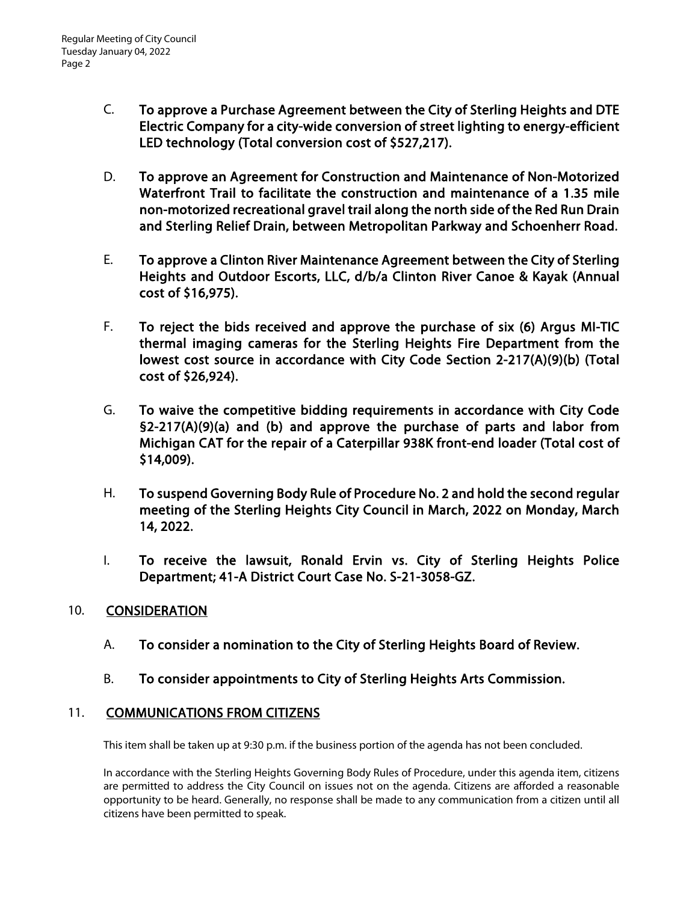- C. To approve a Purchase Agreement between the City of Sterling Heights and DTE Electric Company for a city-wide conversion of street lighting to energy-efficient LED technology (Total conversion cost of \$527,217).
- D. To approve an Agreement for Construction and Maintenance of Non-Motorized Waterfront Trail to facilitate the construction and maintenance of a 1.35 mile non-motorized recreational gravel trail along the north side of the Red Run Drain and Sterling Relief Drain, between Metropolitan Parkway and Schoenherr Road.
- E. To approve a Clinton River Maintenance Agreement between the City of Sterling Heights and Outdoor Escorts, LLC, d/b/a Clinton River Canoe & Kayak (Annual cost of \$16,975).
- F. To reject the bids received and approve the purchase of six (6) Argus MI-TIC thermal imaging cameras for the Sterling Heights Fire Department from the lowest cost source in accordance with City Code Section 2-217(A)(9)(b) (Total cost of \$26,924).
- G. To waive the competitive bidding requirements in accordance with City Code §2-217(A)(9)(a) and (b) and approve the purchase of parts and labor from Michigan CAT for the repair of a Caterpillar 938K front-end loader (Total cost of \$14,009).
- H. To suspend Governing Body Rule of Procedure No. 2 and hold the second regular meeting of the Sterling Heights City Council in March, 2022 on Monday, March 14, 2022.
- I. To receive the lawsuit, Ronald Ervin vs. City of Sterling Heights Police Department; 41-A District Court Case No. S-21-3058-GZ.

## 10. CONSIDERATION

- A. To consider a nomination to the City of Sterling Heights Board of Review.
- B. To consider appointments to City of Sterling Heights Arts Commission.

## 11. COMMUNICATIONS FROM CITIZENS

This item shall be taken up at 9:30 p.m. if the business portion of the agenda has not been concluded.

In accordance with the Sterling Heights Governing Body Rules of Procedure, under this agenda item, citizens are permitted to address the City Council on issues not on the agenda. Citizens are afforded a reasonable opportunity to be heard. Generally, no response shall be made to any communication from a citizen until all citizens have been permitted to speak.